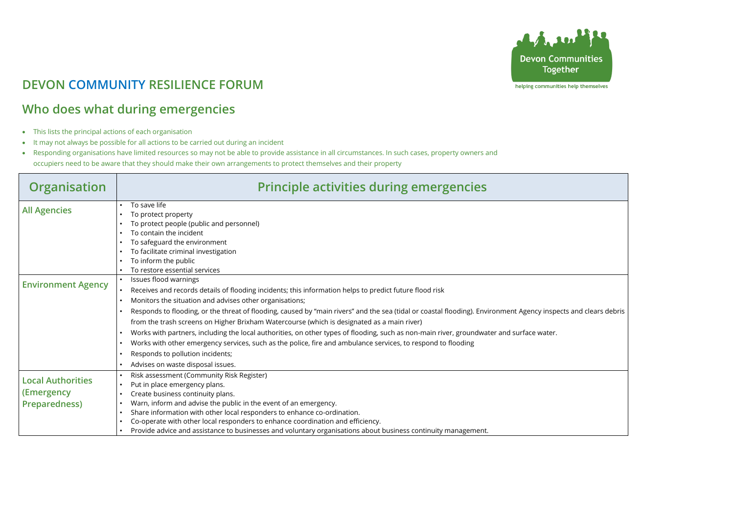

## **DEVON COMMUNITY RESILIENCE FORUM**

## **Who does what during emergencies**

- This lists the principal actions of each organisation
- It may not always be possible for all actions to be carried out during an incident
- Responding organisations have limited resources so may not be able to provide assistance in all circumstances. In such cases, property owners and occupiers need to be aware that they should make their own arrangements to protect themselves and their property

| <b>Organisation</b>       | <b>Principle activities during emergencies</b>                                                                                            |
|---------------------------|-------------------------------------------------------------------------------------------------------------------------------------------|
| <b>All Agencies</b>       | To save life                                                                                                                              |
|                           | To protect property                                                                                                                       |
|                           | To protect people (public and personnel)                                                                                                  |
|                           | To contain the incident                                                                                                                   |
|                           | To safeguard the environment                                                                                                              |
|                           | To facilitate criminal investigation                                                                                                      |
|                           | To inform the public                                                                                                                      |
|                           | To restore essential services                                                                                                             |
| <b>Environment Agency</b> | Issues flood warnings<br>$\bullet$                                                                                                        |
|                           | Receives and records details of flooding incidents; this information helps to predict future flood risk                                   |
|                           | Monitors the situation and advises other organisations;                                                                                   |
|                           | Responds to flooding, or the threat of flooding, caused by "main rivers" and the sea (tidal or coastal flooding). Environment Agency insp |
|                           | from the trash screens on Higher Brixham Watercourse (which is designated as a main river)                                                |
|                           | Works with partners, including the local authorities, on other types of flooding, such as non-main river, groundwater and surface water.  |
|                           | Works with other emergency services, such as the police, fire and ambulance services, to respond to flooding                              |
|                           | Responds to pollution incidents;                                                                                                          |
|                           | Advises on waste disposal issues.                                                                                                         |
|                           | Risk assessment (Community Risk Register)                                                                                                 |
| <b>Local Authorities</b>  | Put in place emergency plans.<br>$\bullet$                                                                                                |
| (Emergency                | Create business continuity plans.                                                                                                         |
| <b>Preparedness)</b>      | Warn, inform and advise the public in the event of an emergency.                                                                          |
|                           | Share information with other local responders to enhance co-ordination.                                                                   |
|                           | Co-operate with other local responders to enhance coordination and efficiency.                                                            |
|                           | Provide advice and assistance to businesses and voluntary organisations about business continuity management.                             |



helping communities help themselves

 $s$  pects and clears debris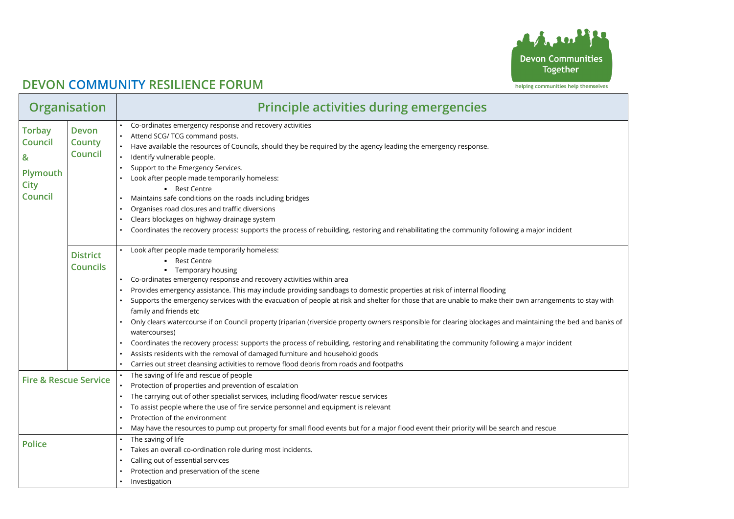

## **DEVON COMMUNITY RESILIENCE FORUM**

| <b>Organisation</b>                                                               |                                          | <b>Principle activities during emergencies</b>                                                                                                                                                                                                                                                                                                                                                                                                                                                                                                                                                                                                                                                                                                                                                                                                                                                                                                                                         |  |
|-----------------------------------------------------------------------------------|------------------------------------------|----------------------------------------------------------------------------------------------------------------------------------------------------------------------------------------------------------------------------------------------------------------------------------------------------------------------------------------------------------------------------------------------------------------------------------------------------------------------------------------------------------------------------------------------------------------------------------------------------------------------------------------------------------------------------------------------------------------------------------------------------------------------------------------------------------------------------------------------------------------------------------------------------------------------------------------------------------------------------------------|--|
| <b>Torbay</b><br><b>Council</b><br>&<br>Plymouth<br><b>City</b><br><b>Council</b> | Devon<br><b>County</b><br><b>Council</b> | Co-ordinates emergency response and recovery activities<br>Attend SCG/ TCG command posts.<br>Have available the resources of Councils, should they be required by the agency leading the emergency response.<br>Identify vulnerable people.<br>Support to the Emergency Services.<br>Look after people made temporarily homeless:<br>• Rest Centre<br>Maintains safe conditions on the roads including bridges<br>Organises road closures and traffic diversions<br>Clears blockages on highway drainage system<br>Coordinates the recovery process: supports the process of rebuilding, restoring and rehabilitating the community following a major incident                                                                                                                                                                                                                                                                                                                         |  |
|                                                                                   | <b>District</b><br><b>Councils</b>       | Look after people made temporarily homeless:<br><b>Rest Centre</b><br>Temporary housing<br>Co-ordinates emergency response and recovery activities within area<br>Provides emergency assistance. This may include providing sandbags to domestic properties at risk of internal flooding<br>Supports the emergency services with the evacuation of people at risk and shelter for those that are unable to make their own arrangements to stay with<br>family and friends etc<br>Only clears watercourse if on Council property (riparian (riverside property owners responsible for clearing blockages and maintaining the bed and banks of<br>watercourses)<br>Coordinates the recovery process: supports the process of rebuilding, restoring and rehabilitating the community following a major incident<br>Assists residents with the removal of damaged furniture and household goods<br>Carries out street cleansing activities to remove flood debris from roads and footpaths |  |
|                                                                                   | <b>Fire &amp; Rescue Service</b>         | The saving of life and rescue of people<br>Protection of properties and prevention of escalation<br>The carrying out of other specialist services, including flood/water rescue services<br>To assist people where the use of fire service personnel and equipment is relevant<br>Protection of the environment<br>May have the resources to pump out property for small flood events but for a major flood event their priority will be search and rescue                                                                                                                                                                                                                                                                                                                                                                                                                                                                                                                             |  |
| <b>Police</b>                                                                     |                                          | The saving of life<br>Takes an overall co-ordination role during most incidents.<br>Calling out of essential services<br>Protection and preservation of the scene<br>Investigation                                                                                                                                                                                                                                                                                                                                                                                                                                                                                                                                                                                                                                                                                                                                                                                                     |  |

| Ù                            |
|------------------------------|
| <b>communities</b><br>gether |
| nities help themselves       |
|                              |
|                              |
|                              |
|                              |
|                              |
|                              |
| cident                       |
|                              |
|                              |
|                              |
| ements to stay with          |
| the bed and banks of         |
| cident                       |
|                              |
|                              |
|                              |
|                              |
| е                            |
|                              |